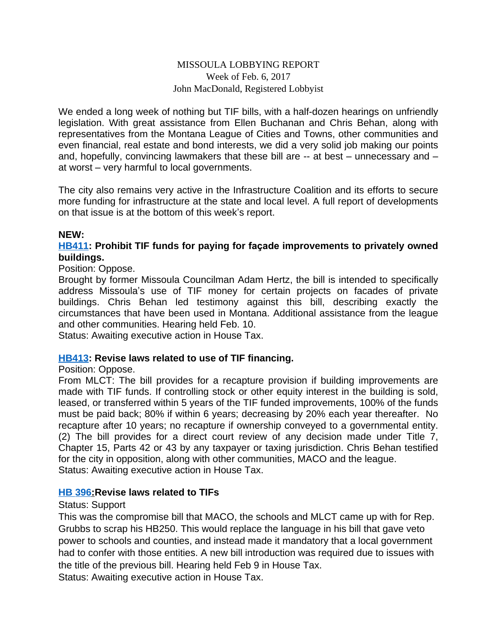#### MISSOULA LOBBYING REPORT Week of Feb. 6, 2017 John MacDonald, Registered Lobbyist

We ended a long week of nothing but TIF bills, with a half-dozen hearings on unfriendly legislation. With great assistance from Ellen Buchanan and Chris Behan, along with representatives from the Montana League of Cities and Towns, other communities and even financial, real estate and bond interests, we did a very solid job making our points and, hopefully, convincing lawmakers that these bill are -- at best – unnecessary and – at worst – very harmful to local governments.

The city also remains very active in the Infrastructure Coalition and its efforts to secure more funding for infrastructure at the state and local level. A full report of developments on that issue is at the bottom of this week's report.

#### **NEW:**

#### **[HB411](http://laws.leg.mt.gov/legprd/LAW0210W$BSIV.ActionQuery?P_BILL_NO1=411&P_BLTP_BILL_TYP_CD=HB&Z_ACTION=Find&P_SESS=20171): Prohibit TIF funds for paying for façade improvements to privately owned buildings.**

Position: Oppose.

Brought by former Missoula Councilman Adam Hertz, the bill is intended to specifically address Missoula's use of TIF money for certain projects on facades of private buildings. Chris Behan led testimony against this bill, describing exactly the circumstances that have been used in Montana. Additional assistance from the league and other communities. Hearing held Feb. 10.

Status: Awaiting executive action in House Tax.

#### **[HB413](http://laws.leg.mt.gov/legprd/LAW0210W$BSIV.ActionQuery?P_BILL_NO1=413&P_BLTP_BILL_TYP_CD=HB&Z_ACTION=Find&P_SESS=20171): Revise laws related to use of TIF financing.**

#### Position: Oppose.

From MLCT: The bill provides for a recapture provision if building improvements are made with TIF funds. If controlling stock or other equity interest in the building is sold, leased, or transferred within 5 years of the TIF funded improvements, 100% of the funds must be paid back; 80% if within 6 years; decreasing by 20% each year thereafter. No recapture after 10 years; no recapture if ownership conveyed to a governmental entity. (2) The bill provides for a direct court review of any decision made under Title 7, Chapter 15, Parts 42 or 43 by any taxpayer or taxing jurisdiction. Chris Behan testified for the city in opposition, along with other communities, MACO and the league. Status: Awaiting executive action in House Tax.

#### **[HB 396:](http://laws.leg.mt.gov/legprd/LAW0210W$BSIV.ActionQuery?P_BILL_NO1=396&P_BLTP_BILL_TYP_CD=HB&Z_ACTION=Find&P_SESS=20171)Revise laws related to TIFs**

#### Status: Support

This was the compromise bill that MACO, the schools and MLCT came up with for Rep. Grubbs to scrap his HB250. This would replace the language in his bill that gave veto power to schools and counties, and instead made it mandatory that a local government had to confer with those entities. A new bill introduction was required due to issues with the title of the previous bill. Hearing held Feb 9 in House Tax. Status: Awaiting executive action in House Tax.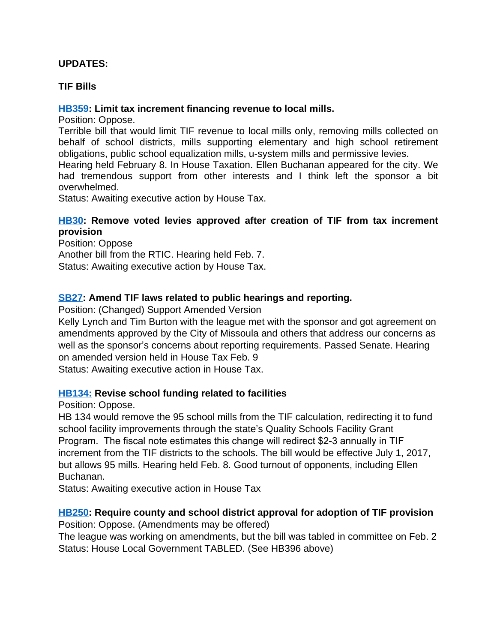## **UPDATES:**

#### **TIF Bills**

#### **[HB359](http://laws.leg.mt.gov/legprd/LAW0210W$BSIV.ActionQuery?P_BILL_NO1=359&P_BLTP_BILL_TYP_CD=HB&Z_ACTION=Find&P_SESS=20171): Limit tax increment financing revenue to local mills.**

Position: Oppose.

Terrible bill that would limit TIF revenue to local mills only, removing mills collected on behalf of school districts, mills supporting elementary and high school retirement obligations, public school equalization mills, u-system mills and permissive levies.

Hearing held February 8. In House Taxation. Ellen Buchanan appeared for the city. We had tremendous support from other interests and I think left the sponsor a bit overwhelmed.

Status: Awaiting executive action by House Tax.

#### **[HB30:](http://laws.leg.mt.gov/legprd/LAW0210W$BSIV.ActionQuery?P_BILL_NO1=30&P_BLTP_BILL_TYP_CD=HB&Z_ACTION=Find&P_SESS=20171) Remove voted levies approved after creation of TIF from tax increment provision**

Position: Oppose Another bill from the RTIC. Hearing held Feb. 7. Status: Awaiting executive action by House Tax.

### **[SB27](http://laws.leg.mt.gov/legprd/LAW0210W$BSIV.ActionQuery?P_BILL_NO1=27&P_BLTP_BILL_TYP_CD=SB&Z_ACTION=Find&P_SESS=20171): Amend TIF laws related to public hearings and reporting.**

Position: (Changed) Support Amended Version

Kelly Lynch and Tim Burton with the league met with the sponsor and got agreement on amendments approved by the City of Missoula and others that address our concerns as well as the sponsor's concerns about reporting requirements. Passed Senate. Hearing on amended version held in House Tax Feb. 9

Status: Awaiting executive action in House Tax.

#### **[HB134:](http://laws.leg.mt.gov/legprd/LAW0210W$BSIV.ActionQuery?P_BILL_NO1=134&P_BLTP_BILL_TYP_CD=HB&Z_ACTION=Find&P_SESS=20171) Revise school funding related to facilities**

Position: Oppose.

HB 134 would remove the 95 school mills from the TIF calculation, redirecting it to fund school facility improvements through the state's Quality Schools Facility Grant Program. The fiscal note estimates this change will redirect \$2-3 annually in TIF increment from the TIF districts to the schools. The bill would be effective July 1, 2017, but allows 95 mills. Hearing held Feb. 8. Good turnout of opponents, including Ellen Buchanan.

Status: Awaiting executive action in House Tax

#### **[HB250](http://laws.leg.mt.gov/legprd/LAW0210W$BSIV.ActionQuery?P_BILL_NO1=250&P_BLTP_BILL_TYP_CD=HB&Z_ACTION=Find&P_SESS=20171): Require county and school district approval for adoption of TIF provision**

Position: Oppose. (Amendments may be offered)

The league was working on amendments, but the bill was tabled in committee on Feb. 2 Status: House Local Government TABLED. (See HB396 above)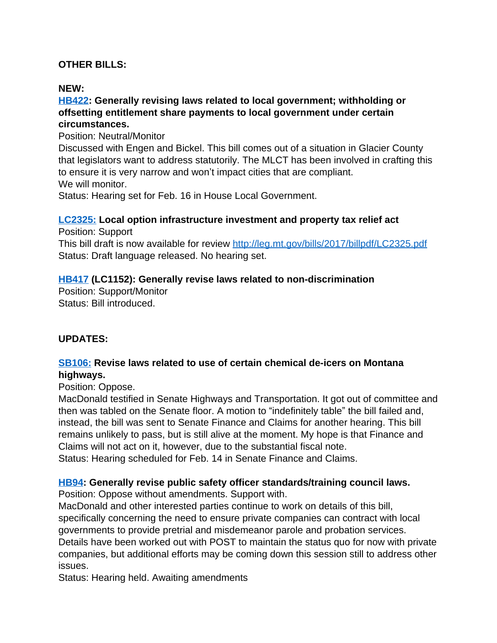# **OTHER BILLS:**

### **NEW:**

### **[HB422](http://laws.leg.mt.gov/legprd/LAW0210W$BSIV.ActionQuery?P_BILL_NO1=422&P_BLTP_BILL_TYP_CD=HB&Z_ACTION=Find&P_SESS=20171): Generally revising laws related to local government; withholding or offsetting entitlement share payments to local government under certain circumstances.**

Position: Neutral/Monitor

Discussed with Engen and Bickel. This bill comes out of a situation in Glacier County that legislators want to address statutorily. The MLCT has been involved in crafting this to ensure it is very narrow and won't impact cities that are compliant. We will monitor.

Status: Hearing set for Feb. 16 in House Local Government.

### **[LC2325:](http://laws.leg.mt.gov/legprd/LAW0210w$BSIV.ActionQuery?P_BILL_DFT_NO5=LC2325&Z_ACTION=Find&P_SESS=20171) Local option infrastructure investment and property tax relief act**

Position: Support

This bill draft is now available for review <http://leg.mt.gov/bills/2017/billpdf/LC2325.pdf> Status: Draft language released. No hearing set.

# **[HB417](http://laws.leg.mt.gov/legprd/LAW0210W$BSIV.ActionQuery?P_BILL_NO1=417&P_BLTP_BILL_TYP_CD=HB&Z_ACTION=Find&P_SESS=20171) (LC1152): Generally revise laws related to non-discrimination**

Position: Support/Monitor Status: Bill introduced.

# **UPDATES:**

### **[SB106:](http://laws.leg.mt.gov/legprd/LAW0210W$BSIV.ActionQuery?P_BILL_NO1=106&P_BLTP_BILL_TYP_CD=SB&Z_ACTION=Find&P_SESS=20171) Revise laws related to use of certain chemical de-icers on Montana highways.**

Position: Oppose.

MacDonald testified in Senate Highways and Transportation. It got out of committee and then was tabled on the Senate floor. A motion to "indefinitely table" the bill failed and, instead, the bill was sent to Senate Finance and Claims for another hearing. This bill remains unlikely to pass, but is still alive at the moment. My hope is that Finance and Claims will not act on it, however, due to the substantial fiscal note. Status: Hearing scheduled for Feb. 14 in Senate Finance and Claims.

# **[HB94:](http://laws.leg.mt.gov/legprd/LAW0210W$BSIV.ActionQuery?P_BILL_NO1=94&P_BLTP_BILL_TYP_CD=HB&Z_ACTION=Find&P_SESS=20171) Generally revise public safety officer standards/training council laws.**

Position: Oppose without amendments. Support with.

MacDonald and other interested parties continue to work on details of this bill, specifically concerning the need to ensure private companies can contract with local governments to provide pretrial and misdemeanor parole and probation services.

Details have been worked out with POST to maintain the status quo for now with private companies, but additional efforts may be coming down this session still to address other issues.

Status: Hearing held. Awaiting amendments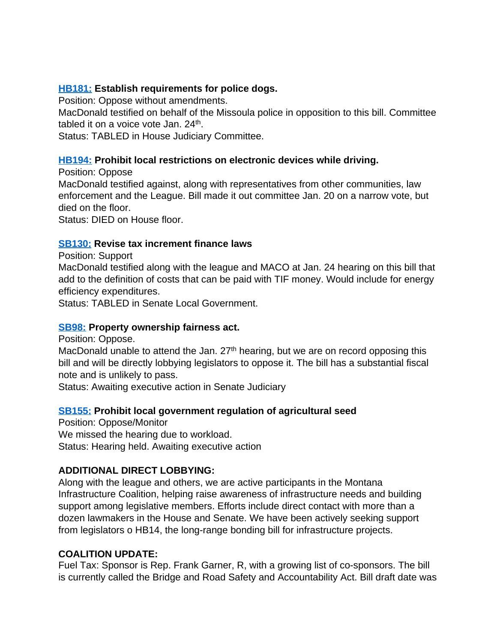### **[HB181:](http://laws.leg.mt.gov/legprd/LAW0210W$BSIV.ActionQuery?P_BILL_NO1=181&P_BLTP_BILL_TYP_CD=HB&Z_ACTION=Find&P_SESS=20171) Establish requirements for police dogs.**

Position: Oppose without amendments.

MacDonald testified on behalf of the Missoula police in opposition to this bill. Committee tabled it on a voice vote Jan. 24<sup>th</sup>.

Status: TABLED in House Judiciary Committee.

### **[HB194:](http://laws.leg.mt.gov/legprd/LAW0210W$BSIV.ActionQuery?P_BILL_NO1=194&P_BLTP_BILL_TYP_CD=HB&Z_ACTION=Find&P_SESS=20171) Prohibit local restrictions on electronic devices while driving.**

Position: Oppose

MacDonald testified against, along with representatives from other communities, law enforcement and the League. Bill made it out committee Jan. 20 on a narrow vote, but died on the floor.

Status: DIED on House floor.

### **[SB130:](http://laws.leg.mt.gov/legprd/LAW0210W$BSIV.ActionQuery?P_BILL_NO1=130&P_BLTP_BILL_TYP_CD=SB&Z_ACTION=Find&P_SESS=20171) Revise tax increment finance laws**

Position: Support

MacDonald testified along with the league and MACO at Jan. 24 hearing on this bill that add to the definition of costs that can be paid with TIF money. Would include for energy efficiency expenditures.

Status: TABLED in Senate Local Government.

# **[SB98:](http://laws.leg.mt.gov/legprd/LAW0210W$BSIV.ActionQuery?P_BILL_NO1=98&P_BLTP_BILL_TYP_CD=SB&Z_ACTION=Find&P_SESS=20171) Property ownership fairness act.**

Position: Oppose.

MacDonald unable to attend the Jan.  $27<sup>th</sup>$  hearing, but we are on record opposing this bill and will be directly lobbying legislators to oppose it. The bill has a substantial fiscal note and is unlikely to pass.

Status: Awaiting executive action in Senate Judiciary

# **[SB155:](http://laws.leg.mt.gov/legprd/LAW0210W$BSIV.ActionQuery?P_BILL_NO1=155&P_BLTP_BILL_TYP_CD=SB&Z_ACTION=Find&P_SESS=20171) Prohibit local government regulation of agricultural seed**

Position: Oppose/Monitor We missed the hearing due to workload. Status: Hearing held. Awaiting executive action

# **ADDITIONAL DIRECT LOBBYING:**

Along with the league and others, we are active participants in the Montana Infrastructure Coalition, helping raise awareness of infrastructure needs and building support among legislative members. Efforts include direct contact with more than a dozen lawmakers in the House and Senate. We have been actively seeking support from legislators o HB14, the long-range bonding bill for infrastructure projects.

# **COALITION UPDATE:**

Fuel Tax: Sponsor is Rep. Frank Garner, R, with a growing list of co-sponsors. The bill is currently called the Bridge and Road Safety and Accountability Act. Bill draft date was